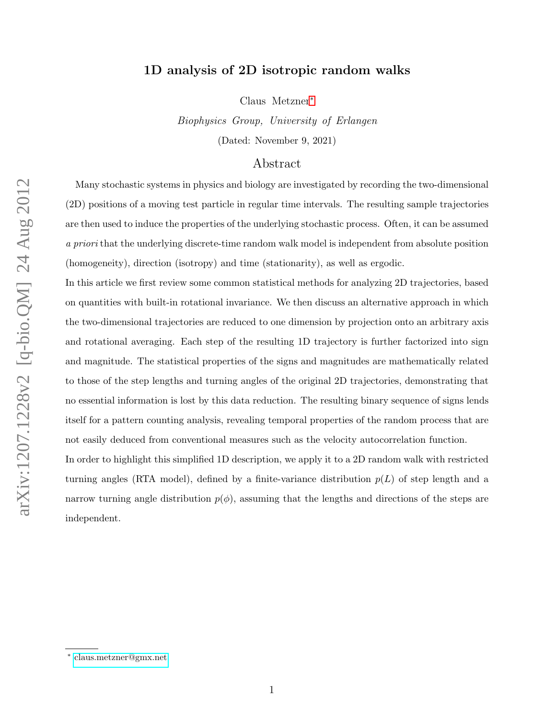### 1D analysis of 2D isotropic random walks

Claus Metzner[∗](#page-0-0)

Biophysics Group, University of Erlangen (Dated: November 9, 2021)

### Abstract

Many stochastic systems in physics and biology are investigated by recording the two-dimensional (2D) positions of a moving test particle in regular time intervals. The resulting sample trajectories are then used to induce the properties of the underlying stochastic process. Often, it can be assumed a priori that the underlying discrete-time random walk model is independent from absolute position (homogeneity), direction (isotropy) and time (stationarity), as well as ergodic.

In this article we first review some common statistical methods for analyzing 2D trajectories, based on quantities with built-in rotational invariance. We then discuss an alternative approach in which the two-dimensional trajectories are reduced to one dimension by projection onto an arbitrary axis and rotational averaging. Each step of the resulting 1D trajectory is further factorized into sign and magnitude. The statistical properties of the signs and magnitudes are mathematically related to those of the step lengths and turning angles of the original 2D trajectories, demonstrating that no essential information is lost by this data reduction. The resulting binary sequence of signs lends itself for a pattern counting analysis, revealing temporal properties of the random process that are not easily deduced from conventional measures such as the velocity autocorrelation function.

In order to highlight this simplified 1D description, we apply it to a 2D random walk with restricted turning angles (RTA model), defined by a finite-variance distribution  $p(L)$  of step length and a narrow turning angle distribution  $p(\phi)$ , assuming that the lengths and directions of the steps are independent.

<span id="page-0-0"></span><sup>∗</sup> [claus.metzner@gmx.net](mailto:claus.metzner@gmx.net)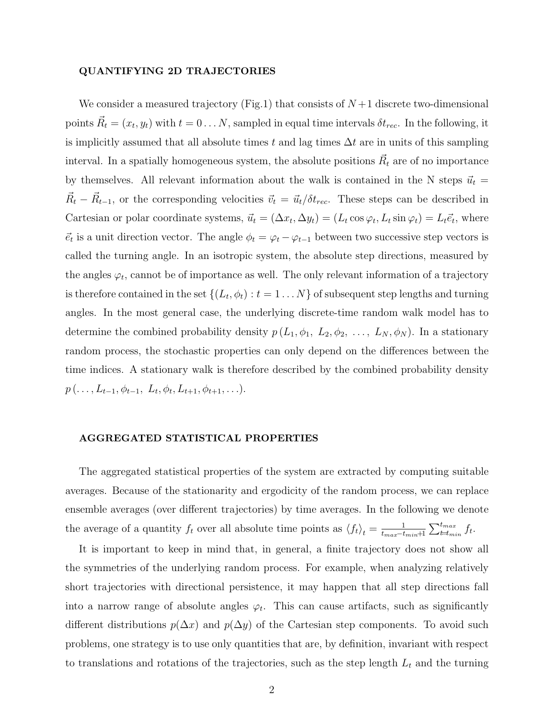#### QUANTIFYING 2D TRAJECTORIES

We consider a measured trajectory (Fig.1) that consists of  $N+1$  discrete two-dimensional points  $\vec{R}_t = (x_t, y_t)$  with  $t = 0 \dots N$ , sampled in equal time intervals  $\delta t_{rec}$ . In the following, it is implicitly assumed that all absolute times t and lag times  $\Delta t$  are in units of this sampling interval. In a spatially homogeneous system, the absolute positions  $\vec{R_t}$  are of no importance by themselves. All relevant information about the walk is contained in the N steps  $\vec{u}_t =$  $\vec{R}_t - \vec{R}_{t-1}$ , or the corresponding velocities  $\vec{v}_t = \vec{u}_t / \delta t_{rec}$ . These steps can be described in Cartesian or polar coordinate systems,  $\vec{u}_t = (\Delta x_t, \Delta y_t) = (L_t \cos \varphi_t, L_t \sin \varphi_t) = L_t \vec{e}_t$ , where  $\vec{e}_t$  is a unit direction vector. The angle  $\phi_t = \varphi_t - \varphi_{t-1}$  between two successive step vectors is called the turning angle. In an isotropic system, the absolute step directions, measured by the angles  $\varphi_t$ , cannot be of importance as well. The only relevant information of a trajectory is therefore contained in the set  $\{(L_t, \phi_t) : t = 1 \dots N\}$  of subsequent step lengths and turning angles. In the most general case, the underlying discrete-time random walk model has to determine the combined probability density  $p(L_1, \phi_1, L_2, \phi_2, \ldots, L_N, \phi_N)$ . In a stationary random process, the stochastic properties can only depend on the differences between the time indices. A stationary walk is therefore described by the combined probability density  $p(\ldots,L_{t-1},\phi_{t-1}, L_t, \phi_t, L_{t+1}, \phi_{t+1}, \ldots).$ 

### AGGREGATED STATISTICAL PROPERTIES

The aggregated statistical properties of the system are extracted by computing suitable averages. Because of the stationarity and ergodicity of the random process, we can replace ensemble averages (over different trajectories) by time averages. In the following we denote the average of a quantity  $f_t$  over all absolute time points as  $\langle f_t \rangle_t = \frac{1}{t_{max}-t}$  $\frac{1}{t_{max}-t_{min}+1}\sum_{t=t_{min}}^{t_{max}}f_t.$ 

It is important to keep in mind that, in general, a finite trajectory does not show all the symmetries of the underlying random process. For example, when analyzing relatively short trajectories with directional persistence, it may happen that all step directions fall into a narrow range of absolute angles  $\varphi_t$ . This can cause artifacts, such as significantly different distributions  $p(\Delta x)$  and  $p(\Delta y)$  of the Cartesian step components. To avoid such problems, one strategy is to use only quantities that are, by definition, invariant with respect to translations and rotations of the trajectories, such as the step length  $L_t$  and the turning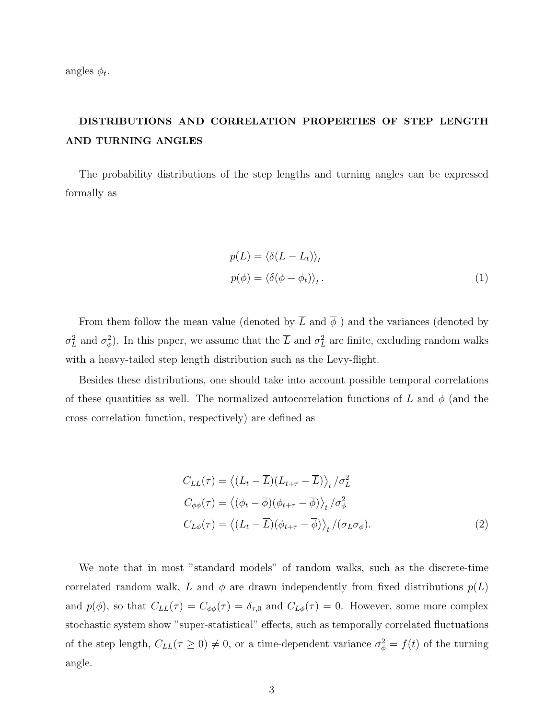angles  $\phi_t$ .

# DISTRIBUTIONS AND CORRELATION PROPERTIES OF STEP LENGTH AND TURNING ANGLES

The probability distributions of the step lengths and turning angles can be expressed formally as

$$
p(L) = \langle \delta(L - L_t) \rangle_t
$$
  

$$
p(\phi) = \langle \delta(\phi - \phi_t) \rangle_t.
$$
 (1)

From them follow the mean value (denoted by  $\overline{L}$  and  $\overline{\phi}$ ) and the variances (denoted by  $\sigma_L^2$  and  $\sigma_{\phi}^2$ ). In this paper, we assume that the  $\overline{L}$  and  $\sigma_L^2$  are finite, excluding random walks with a heavy-tailed step length distribution such as the Levy-flight.

Besides these distributions, one should take into account possible temporal correlations of these quantities as well. The normalized autocorrelation functions of L and  $\phi$  (and the cross correlation function, respectively) are defined as

$$
C_{LL}(\tau) = \langle (L_t - \overline{L})(L_{t+\tau} - \overline{L}) \rangle_t / \sigma_L^2
$$
  
\n
$$
C_{\phi\phi}(\tau) = \langle (\phi_t - \overline{\phi})(\phi_{t+\tau} - \overline{\phi}) \rangle_t / \sigma_{\phi}^2
$$
  
\n
$$
C_{L\phi}(\tau) = \langle (L_t - \overline{L})(\phi_{t+\tau} - \overline{\phi}) \rangle_t / (\sigma_L \sigma_{\phi}).
$$
\n(2)

We note that in most "standard models" of random walks, such as the discrete-time correlated random walk, L and  $\phi$  are drawn independently from fixed distributions  $p(L)$ and  $p(\phi)$ , so that  $C_{LL}(\tau) = C_{\phi\phi}(\tau) = \delta_{\tau,0}$  and  $C_{L\phi}(\tau) = 0$ . However, some more complex stochastic system show "super-statistical" effects, such as temporally correlated fluctuations of the step length,  $C_{LL}(\tau \geq 0) \neq 0$ , or a time-dependent variance  $\sigma_{\phi}^2 = f(t)$  of the turning angle.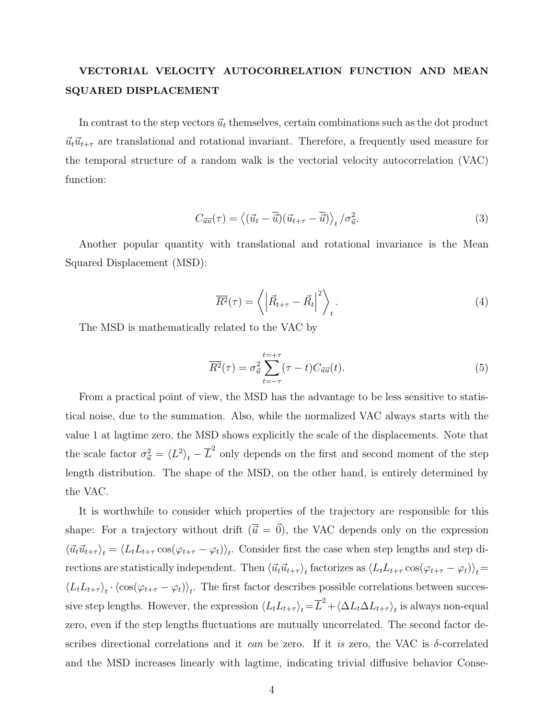## VECTORIAL VELOCITY AUTOCORRELATION FUNCTION AND MEAN SQUARED DISPLACEMENT

In contrast to the step vectors  $\vec{u}_t$  themselves, certain combinations such as the dot product  $\vec{u}_t\vec{u}_{t+\tau}$  are translational and rotational invariant. Therefore, a frequently used measure for the temporal structure of a random walk is the vectorial velocity autocorrelation (VAC) function:

$$
C_{\vec{u}\vec{u}}(\tau) = \langle (\vec{u}_t - \overline{\vec{u}})(\vec{u}_{t+\tau} - \overline{\vec{u}}) \rangle_t / \sigma_{\vec{u}}^2.
$$
 (3)

Another popular quantity with translational and rotational invariance is the Mean Squared Displacement (MSD):

$$
\overline{R^2}(\tau) = \left\langle \left| \vec{R}_{t+\tau} - \vec{R}_t \right|^2 \right\rangle_t.
$$
\n(4)

The MSD is mathematically related to the VAC by

$$
\overline{R^2}(\tau) = \sigma_{\vec{u}}^2 \sum_{t=-\tau}^{t=+\tau} (\tau - t) C_{\vec{u}\vec{u}}(t).
$$
\n(5)

From a practical point of view, the MSD has the advantage to be less sensitive to statistical noise, due to the summation. Also, while the normalized VAC always starts with the value 1 at lagtime zero, the MSD shows explicitly the scale of the displacements. Note that the scale factor  $\sigma_{\vec{u}}^2 = \langle L^2 \rangle_t - \overline{L}^2$  only depends on the first and second moment of the step length distribution. The shape of the MSD, on the other hand, is entirely determined by the VAC.

It is worthwhile to consider which properties of the trajectory are responsible for this shape: For a trajectory without drift  $(\overline{\vec{u}} = \vec{0})$ , the VAC depends only on the expression  $\langle \vec{u}_t \vec{u}_{t+\tau} \rangle_t = \langle L_t L_{t+\tau} \cos(\varphi_{t+\tau} - \varphi_t) \rangle_t$ . Consider first the case when step lengths and step directions are statistically independent. Then  $\langle \vec{u}_t \vec{u}_{t+\tau} \rangle_t$  factorizes as  $\langle L_t L_{t+\tau} \cos(\varphi_{t+\tau} - \varphi_t) \rangle_t =$  $\langle L_t L_{t+\tau} \rangle_t \cdot \langle \cos(\varphi_{t+\tau} - \varphi_t) \rangle_t$ . The first factor describes possible correlations between successive step lengths. However, the expression  $\langle L_t L_{t+\tau} \rangle_t = \overline{L}^2 + \langle \Delta L_t \Delta L_{t+\tau} \rangle_t$  is always non-equal zero, even if the step lengths fluctuations are mutually uncorrelated. The second factor describes directional correlations and it can be zero. If it is zero, the VAC is  $\delta$ -correlated and the MSD increases linearly with lagtime, indicating trivial diffusive behavior Conse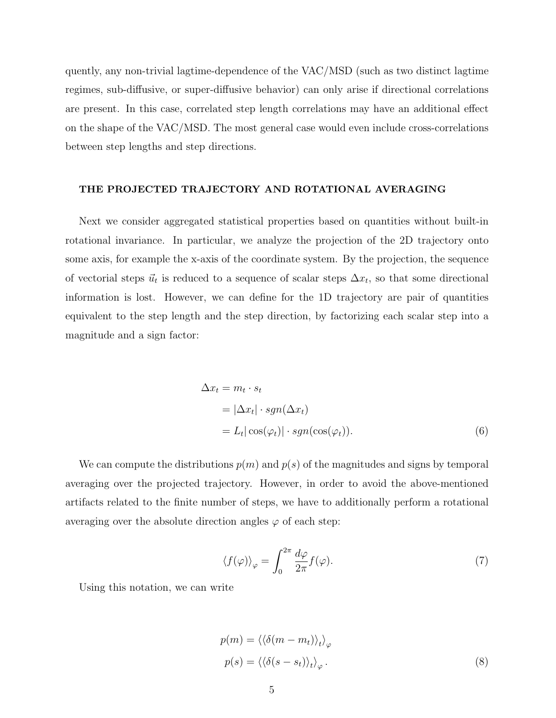quently, any non-trivial lagtime-dependence of the VAC/MSD (such as two distinct lagtime regimes, sub-diffusive, or super-diffusive behavior) can only arise if directional correlations are present. In this case, correlated step length correlations may have an additional effect on the shape of the VAC/MSD. The most general case would even include cross-correlations between step lengths and step directions.

### THE PROJECTED TRAJECTORY AND ROTATIONAL AVERAGING

Next we consider aggregated statistical properties based on quantities without built-in rotational invariance. In particular, we analyze the projection of the 2D trajectory onto some axis, for example the x-axis of the coordinate system. By the projection, the sequence of vectorial steps  $\vec{u}_t$  is reduced to a sequence of scalar steps  $\Delta x_t$ , so that some directional information is lost. However, we can define for the 1D trajectory are pair of quantities equivalent to the step length and the step direction, by factorizing each scalar step into a magnitude and a sign factor:

$$
\Delta x_t = m_t \cdot s_t
$$
  
=  $|\Delta x_t| \cdot sgn(\Delta x_t)$   
=  $L_t |\cos(\varphi_t)| \cdot sgn(\cos(\varphi_t)).$  (6)

We can compute the distributions  $p(m)$  and  $p(s)$  of the magnitudes and signs by temporal averaging over the projected trajectory. However, in order to avoid the above-mentioned artifacts related to the finite number of steps, we have to additionally perform a rotational averaging over the absolute direction angles  $\varphi$  of each step:

$$
\langle f(\varphi) \rangle_{\varphi} = \int_0^{2\pi} \frac{d\varphi}{2\pi} f(\varphi). \tag{7}
$$

Using this notation, we can write

$$
p(m) = \langle \langle \delta(m - m_t) \rangle_t \rangle_{\varphi}
$$
  

$$
p(s) = \langle \langle \delta(s - s_t) \rangle_t \rangle_{\varphi}.
$$
 (8)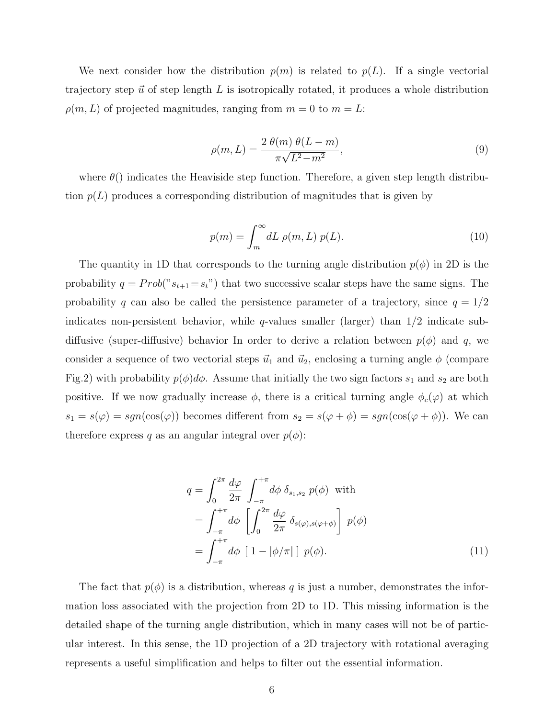We next consider how the distribution  $p(m)$  is related to  $p(L)$ . If a single vectorial trajectory step  $\vec{u}$  of step length L is isotropically rotated, it produces a whole distribution  $\rho(m, L)$  of projected magnitudes, ranging from  $m = 0$  to  $m = L$ :

$$
\rho(m,L) = \frac{2 \ \theta(m) \ \theta(L-m)}{\pi \sqrt{L^2 - m^2}},\tag{9}
$$

where  $\theta()$  indicates the Heaviside step function. Therefore, a given step length distribution  $p(L)$  produces a corresponding distribution of magnitudes that is given by

$$
p(m) = \int_{m}^{\infty} dL \, \rho(m, L) \, p(L). \tag{10}
$$

The quantity in 1D that corresponds to the turning angle distribution  $p(\phi)$  in 2D is the probability  $q = Prob("s_{t+1} = s_t")$  that two successive scalar steps have the same signs. The probability q can also be called the persistence parameter of a trajectory, since  $q = 1/2$ indicates non-persistent behavior, while  $q$ -values smaller (larger) than  $1/2$  indicate subdiffusive (super-diffusive) behavior In order to derive a relation between  $p(\phi)$  and q, we consider a sequence of two vectorial steps  $\vec{u}_1$  and  $\vec{u}_2$ , enclosing a turning angle  $\phi$  (compare Fig.2) with probability  $p(\phi)d\phi$ . Assume that initially the two sign factors  $s_1$  and  $s_2$  are both positive. If we now gradually increase  $\phi$ , there is a critical turning angle  $\phi_c(\varphi)$  at which  $s_1 = s(\varphi) = sgn(\cos(\varphi))$  becomes different from  $s_2 = s(\varphi + \phi) = sgn(\cos(\varphi + \phi))$ . We can therefore express q as an angular integral over  $p(\phi)$ :

$$
q = \int_0^{2\pi} \frac{d\varphi}{2\pi} \int_{-\pi}^{+\pi} d\phi \, \delta_{s_1, s_2} \, p(\phi) \text{ with}
$$
  
\n
$$
= \int_{-\pi}^{+\pi} d\phi \, \left[ \int_0^{2\pi} \frac{d\varphi}{2\pi} \, \delta_{s(\varphi), s(\varphi + \phi)} \right] \, p(\phi)
$$
  
\n
$$
= \int_{-\pi}^{+\pi} d\phi \, \left[ 1 - |\phi/\pi| \right] \, p(\phi).
$$
 (11)

The fact that  $p(\phi)$  is a distribution, whereas q is just a number, demonstrates the information loss associated with the projection from 2D to 1D. This missing information is the detailed shape of the turning angle distribution, which in many cases will not be of particular interest. In this sense, the 1D projection of a 2D trajectory with rotational averaging represents a useful simplification and helps to filter out the essential information.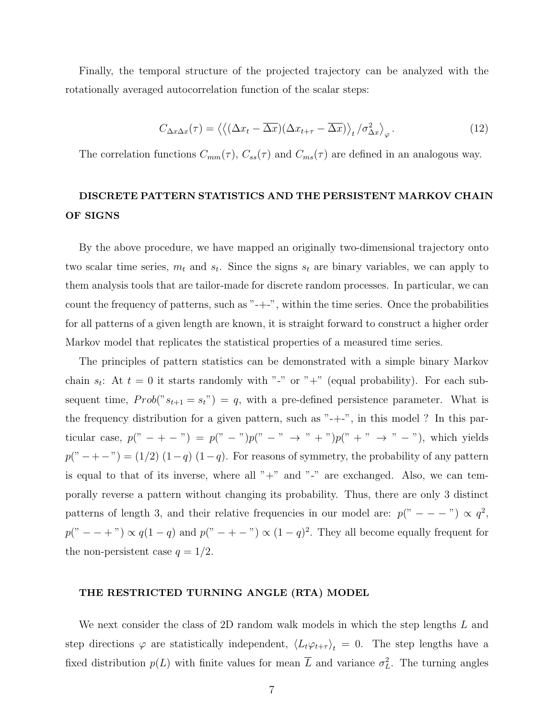Finally, the temporal structure of the projected trajectory can be analyzed with the rotationally averaged autocorrelation function of the scalar steps:

$$
C_{\Delta x \Delta x}(\tau) = \left\langle \left( (\Delta x_t - \overline{\Delta x})(\Delta x_{t+\tau} - \overline{\Delta x}) \right\rangle_t / \sigma_{\Delta x}^2 \right\rangle_{\varphi}.
$$
 (12)

The correlation functions  $C_{mm}(\tau)$ ,  $C_{ss}(\tau)$  and  $C_{ms}(\tau)$  are defined in an analogous way.

### DISCRETE PATTERN STATISTICS AND THE PERSISTENT MARKOV CHAIN OF SIGNS

By the above procedure, we have mapped an originally two-dimensional trajectory onto two scalar time series,  $m_t$  and  $s_t$ . Since the signs  $s_t$  are binary variables, we can apply to them analysis tools that are tailor-made for discrete random processes. In particular, we can count the frequency of patterns, such as "-+-", within the time series. Once the probabilities for all patterns of a given length are known, it is straight forward to construct a higher order Markov model that replicates the statistical properties of a measured time series.

The principles of pattern statistics can be demonstrated with a simple binary Markov chain  $s_t$ : At  $t = 0$  it starts randomly with "-" or "+" (equal probability). For each subsequent time,  $Prob("s_{t+1} = s_t") = q$ , with a pre-defined persistence parameter. What is the frequency distribution for a given pattern, such as "-+-", in this model ? In this particular case,  $p(" - + -") = p(" -")p(" -" \rightarrow " +")p(" +" \rightarrow " -"),$  which yields  $p("−+-") = (1/2) (1-q) (1-q)$ . For reasons of symmetry, the probability of any pattern is equal to that of its inverse, where all " $+$ " and " $-$ " are exchanged. Also, we can temporally reverse a pattern without changing its probability. Thus, there are only 3 distinct patterns of length 3, and their relative frequencies in our model are:  $p(" - - -") \propto q^2$ ,  $p(" - +") \propto q(1-q)$  and  $p(" - + -") \propto (1-q)^2$ . They all become equally frequent for the non-persistent case  $q = 1/2$ .

### THE RESTRICTED TURNING ANGLE (RTA) MODEL

We next consider the class of 2D random walk models in which the step lengths L and step directions  $\varphi$  are statistically independent,  $\langle L_t \varphi_{t+\tau} \rangle_t = 0$ . The step lengths have a fixed distribution  $p(L)$  with finite values for mean  $\overline{L}$  and variance  $\sigma_L^2$ . The turning angles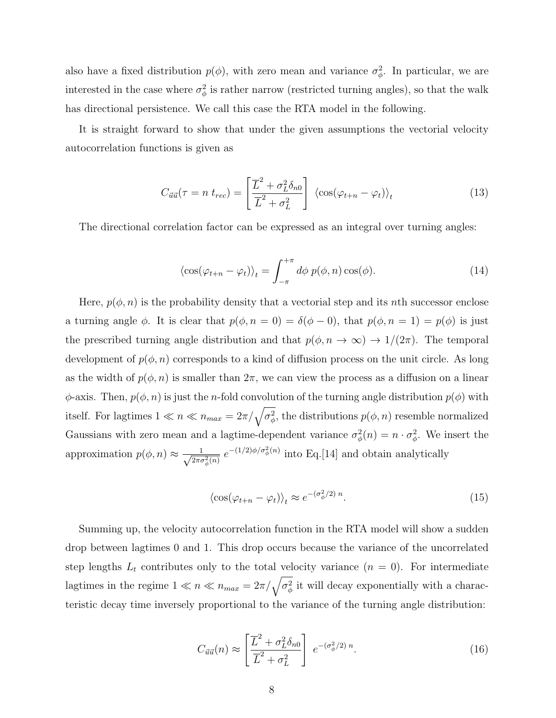also have a fixed distribution  $p(\phi)$ , with zero mean and variance  $\sigma_{\phi}^2$ . In particular, we are interested in the case where  $\sigma_{\phi}^2$  is rather narrow (restricted turning angles), so that the walk has directional persistence. We call this case the RTA model in the following.

It is straight forward to show that under the given assumptions the vectorial velocity autocorrelation functions is given as

$$
C_{\vec{u}\vec{u}}(\tau = n \ t_{rec}) = \left[\frac{\overline{L}^2 + \sigma_L^2 \delta_{n0}}{\overline{L}^2 + \sigma_L^2}\right] \langle \cos(\varphi_{t+n} - \varphi_t) \rangle_t \tag{13}
$$

The directional correlation factor can be expressed as an integral over turning angles:

$$
\langle \cos(\varphi_{t+n} - \varphi_t) \rangle_t = \int_{-\pi}^{+\pi} d\phi \ p(\phi, n) \cos(\phi). \tag{14}
$$

Here,  $p(\phi, n)$  is the probability density that a vectorial step and its nth successor enclose a turning angle  $\phi$ . It is clear that  $p(\phi, n = 0) = \delta(\phi - 0)$ , that  $p(\phi, n = 1) = p(\phi)$  is just the prescribed turning angle distribution and that  $p(\phi, n \to \infty) \to 1/(2\pi)$ . The temporal development of  $p(\phi, n)$  corresponds to a kind of diffusion process on the unit circle. As long as the width of  $p(\phi, n)$  is smaller than  $2\pi$ , we can view the process as a diffusion on a linear  $\phi$ -axis. Then,  $p(\phi, n)$  is just the *n*-fold convolution of the turning angle distribution  $p(\phi)$  with itself. For lagtimes  $1 \ll n \ll n_{max} = 2\pi/\sqrt{\sigma_{\phi}^2}$ , the distributions  $p(\phi, n)$  resemble normalized Gaussians with zero mean and a lagtime-dependent variance  $\sigma_{\phi}^2(n) = n \cdot \sigma_{\phi}^2$ . We insert the approximation  $p(\phi, n) \approx \frac{1}{\sqrt{2\pi}}$  $\frac{1}{2\pi\sigma_{\phi}^2(n)} e^{-(1/2)\phi/\sigma_{\phi}^2(n)}$  into Eq.[14] and obtain analytically

$$
\langle \cos(\varphi_{t+n} - \varphi_t) \rangle_t \approx e^{-(\sigma_\phi^2/2) n}.
$$
\n(15)

Summing up, the velocity autocorrelation function in the RTA model will show a sudden drop between lagtimes 0 and 1. This drop occurs because the variance of the uncorrelated step lengths  $L_t$  contributes only to the total velocity variance  $(n = 0)$ . For intermediate lagtimes in the regime  $1 \ll n \ll n_{max} = 2\pi/\sqrt{\sigma_{\phi}^2}$  it will decay exponentially with a characteristic decay time inversely proportional to the variance of the turning angle distribution:

$$
C_{\vec{u}\vec{u}}(n) \approx \left[\frac{\overline{L}^2 + \sigma_L^2 \delta_{n0}}{\overline{L}^2 + \sigma_L^2}\right] e^{-(\sigma_\phi^2/2) n}.\tag{16}
$$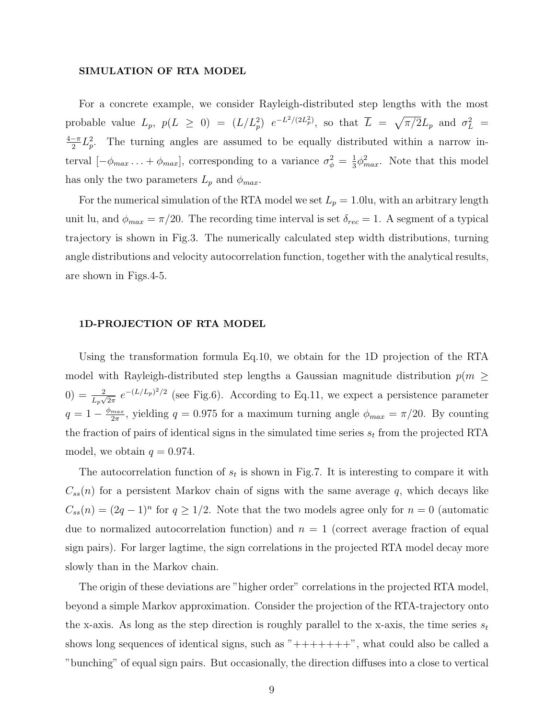#### SIMULATION OF RTA MODEL

For a concrete example, we consider Rayleigh-distributed step lengths with the most probable value  $L_p$ ,  $p(L \ge 0) = (L/L_p^2) e^{-L^2/(2L_p^2)}$ , so that  $\overline{L} = \sqrt{\pi/2}L_p$  and  $\sigma_L^2 =$  $4-\pi$  $\frac{-\pi}{2}L_p^2$ . The turning angles are assumed to be equally distributed within a narrow interval  $[-\phi_{max} \dots + \phi_{max}]$ , corresponding to a variance  $\sigma_{\phi}^2 = \frac{1}{3}$  $\frac{1}{3}\phi_{max}^2$ . Note that this model has only the two parameters  $L_p$  and  $\phi_{max}$ .

For the numerical simulation of the RTA model we set  $L_p = 1.0$ lu, with an arbitrary length unit lu, and  $\phi_{max} = \pi/20$ . The recording time interval is set  $\delta_{rec} = 1$ . A segment of a typical trajectory is shown in Fig.3. The numerically calculated step width distributions, turning angle distributions and velocity autocorrelation function, together with the analytical results, are shown in Figs.4-5.

### 1D-PROJECTION OF RTA MODEL

Using the transformation formula Eq.10, we obtain for the 1D projection of the RTA model with Rayleigh-distributed step lengths a Gaussian magnitude distribution  $p(m \geq$  $(0) = \frac{2}{L_p\sqrt{2\pi}} e^{-(L/L_p)^2/2}$  (see Fig.6). According to Eq.11, we expect a persistence parameter  $q=1-\frac{\phi_{max}}{2\pi}$  $\frac{max}{2\pi}$ , yielding  $q = 0.975$  for a maximum turning angle  $\phi_{max} = \pi/20$ . By counting the fraction of pairs of identical signs in the simulated time series  $s_t$  from the projected RTA model, we obtain  $q = 0.974$ .

The autocorrelation function of  $s_t$  is shown in Fig.7. It is interesting to compare it with  $C_{ss}(n)$  for a persistent Markov chain of signs with the same average q, which decays like  $C_{ss}(n) = (2q-1)^n$  for  $q \geq 1/2$ . Note that the two models agree only for  $n = 0$  (automatic due to normalized autocorrelation function) and  $n = 1$  (correct average fraction of equal sign pairs). For larger lagtime, the sign correlations in the projected RTA model decay more slowly than in the Markov chain.

The origin of these deviations are "higher order" correlations in the projected RTA model, beyond a simple Markov approximation. Consider the projection of the RTA-trajectory onto the x-axis. As long as the step direction is roughly parallel to the x-axis, the time series  $s_t$ shows long sequences of identical signs, such as  $"++++++"$ , what could also be called a "bunching" of equal sign pairs. But occasionally, the direction diffuses into a close to vertical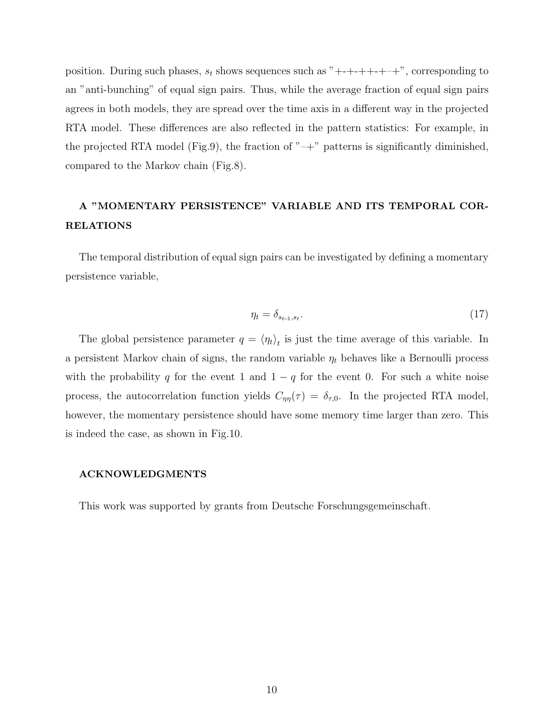position. During such phases,  $s_t$  shows sequences such as "+-+-++-+++", corresponding to an "anti-bunching" of equal sign pairs. Thus, while the average fraction of equal sign pairs agrees in both models, they are spread over the time axis in a different way in the projected RTA model. These differences are also reflected in the pattern statistics: For example, in the projected RTA model (Fig.9), the fraction of  $"-+"$  patterns is significantly diminished, compared to the Markov chain (Fig.8).

## A "MOMENTARY PERSISTENCE" VARIABLE AND ITS TEMPORAL COR-RELATIONS

The temporal distribution of equal sign pairs can be investigated by defining a momentary persistence variable,

$$
\eta_t = \delta_{s_{t-1}, s_t}.\tag{17}
$$

The global persistence parameter  $q = \langle \eta_t \rangle_t$  is just the time average of this variable. In a persistent Markov chain of signs, the random variable  $\eta_t$  behaves like a Bernoulli process with the probability q for the event 1 and  $1 - q$  for the event 0. For such a white noise process, the autocorrelation function yields  $C_{\eta\eta}(\tau) = \delta_{\tau,0}$ . In the projected RTA model, however, the momentary persistence should have some memory time larger than zero. This is indeed the case, as shown in Fig.10.

### ACKNOWLEDGMENTS

This work was supported by grants from Deutsche Forschungsgemeinschaft.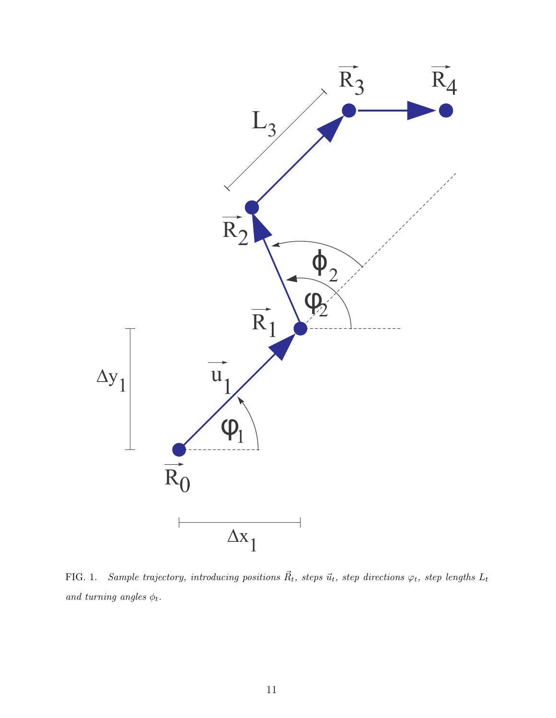

FIG. 1. Sample trajectory, introducing positions  $\vec{R}_{t}$ , steps  $\vec{u}_{t}$ , step directions  $\varphi_{t}$ , step lengths  $L_{t}$ and turning angles  $\phi_t.$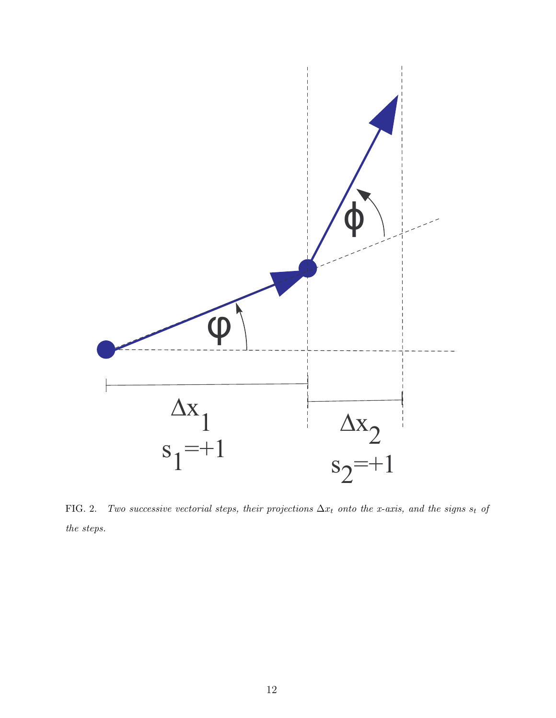

FIG. 2. Two successive vectorial steps, their projections  $\Delta x_t$  onto the x-axis, and the signs st of the steps.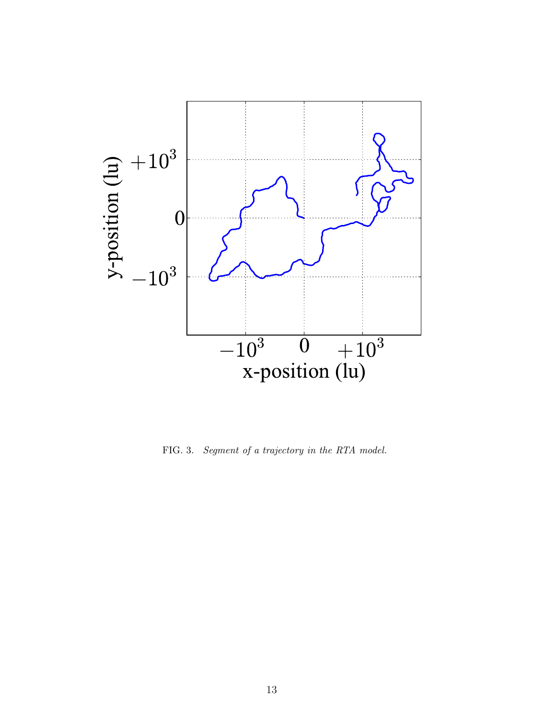

FIG. 3. Segment of a trajectory in the RTA model.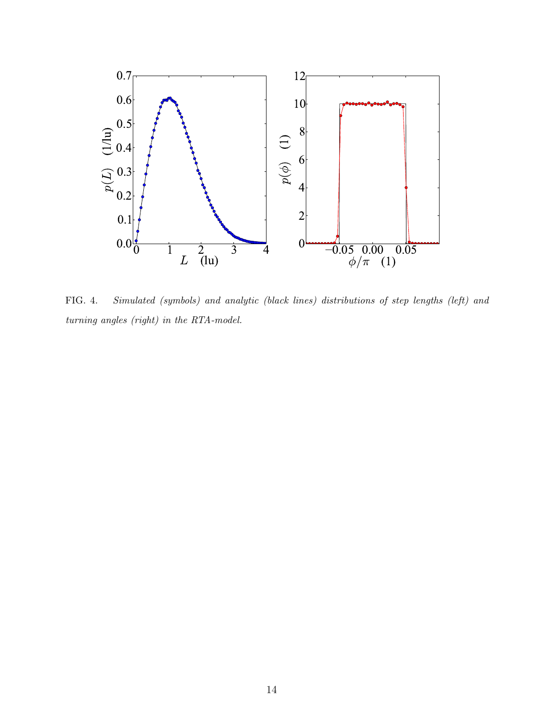

FIG. 4. Simulated (symbols) and analytic (black lines) distributions of step lengths (left) and turning angles (right) in the RTA-model.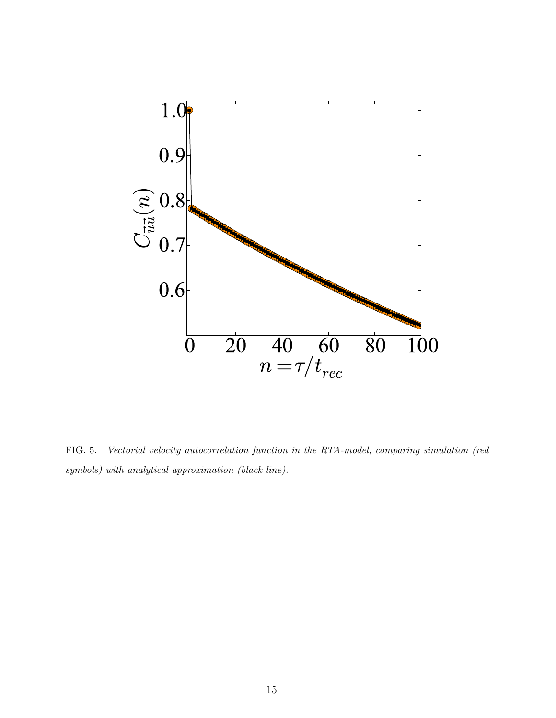

FIG. 5. Vectorial velocity autocorrelation function in the RTA-model, comparing simulation (red symbols) with analytical approximation (black line).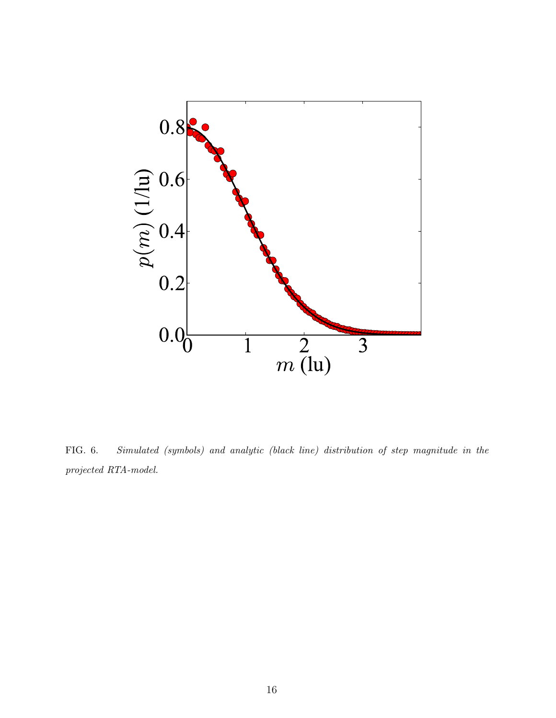

FIG. 6. Simulated (symbols) and analytic (black line) distribution of step magnitude in the projected RTA-model.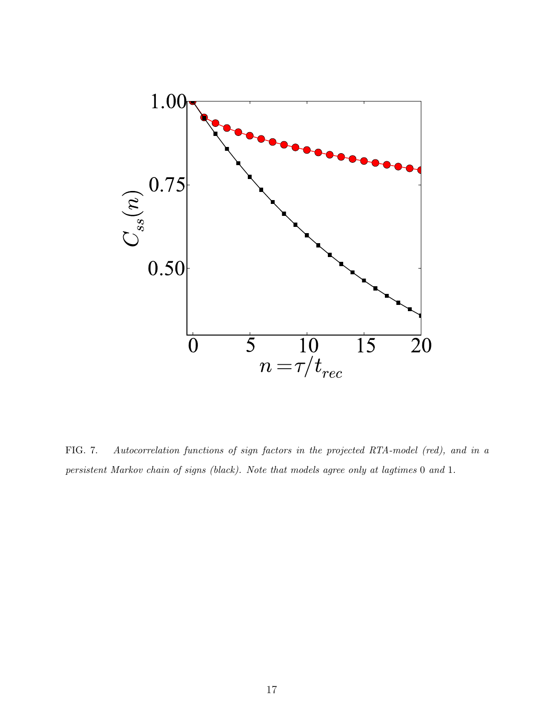

FIG. 7. Autocorrelation functions of sign factors in the projected RTA-model (red), and in a persistent Markov chain of signs (black). Note that models agree only at lagtimes 0 and 1.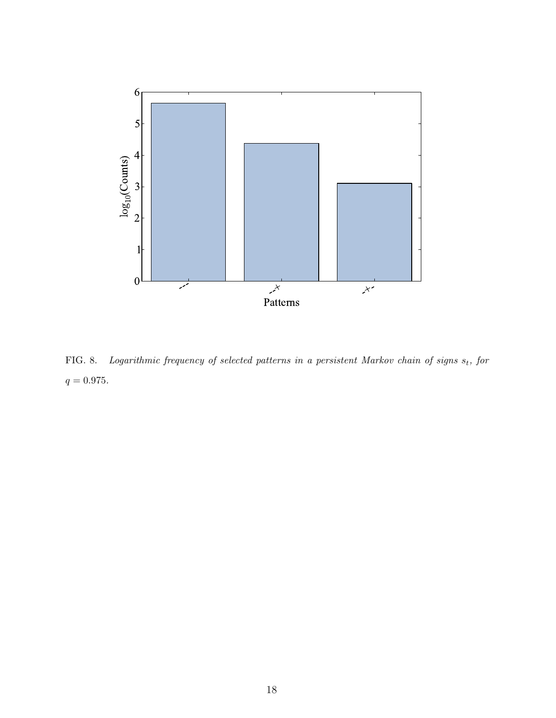

FIG. 8. Logarithmic frequency of selected patterns in a persistent Markov chain of signs  $s_t$ , for  $q = 0.975.$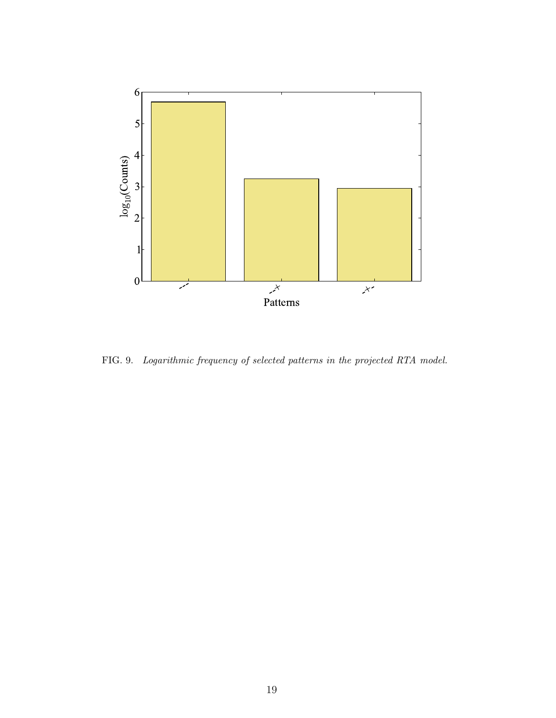

FIG. 9. Logarithmic frequency of selected patterns in the projected RTA model.